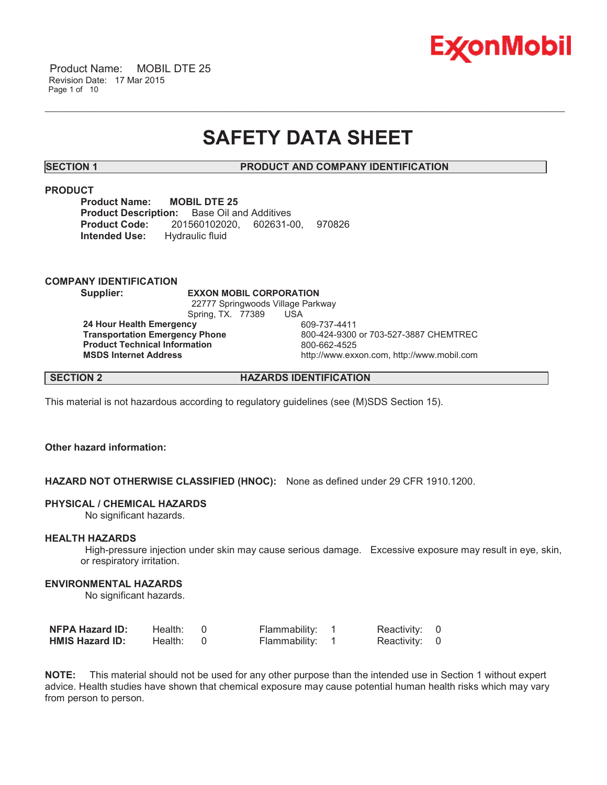

 Product Name: MOBIL DTE 25 Revision Date: 17 Mar 2015 Page 1 of 10

# **SAFETY DATA SHEET**

\_\_\_\_\_\_\_\_\_\_\_\_\_\_\_\_\_\_\_\_\_\_\_\_\_\_\_\_\_\_\_\_\_\_\_\_\_\_\_\_\_\_\_\_\_\_\_\_\_\_\_\_\_\_\_\_\_\_\_\_\_\_\_\_\_\_\_\_\_\_\_\_\_\_\_\_\_\_\_\_\_\_\_\_\_\_\_\_\_\_\_\_\_\_\_\_\_\_\_\_\_\_\_\_\_\_\_\_\_\_\_\_\_\_\_\_\_\_

**SECTION 1 PRODUCT AND COMPANY IDENTIFICATION**

# **PRODUCT**

**Product Name: MOBIL DTE 25<br>Product Description:** Base Oil and Additives **Product Description: Product Code:** 201560102020, 602631-00, 970826 **Intended Use:** Hydraulic fluid

### **COMPANY IDENTIFICATION**

**Supplier: EXXON MOBIL CORPORATION** 22777 Springwoods Village Parkway Spring, TX. 77389 USA

**24 Hour Health Emergency <br>Transportation Emergency Phone 609-737-4411<br>B00-424-9300 Product Technical Information<br>MSDS Internet Address** 

 **Transportation Emergency Phone** 800-424-9300 or 703-527-3887 CHEMTREC  **MSDS Internet Address** http://www.exxon.com, http://www.mobil.com

# **SECTION 2 HAZARDS IDENTIFICATION**

This material is not hazardous according to regulatory guidelines (see (M)SDS Section 15).

# **Other hazard information:**

# **HAZARD NOT OTHERWISE CLASSIFIED (HNOC):** None as defined under 29 CFR 1910.1200.

# **PHYSICAL / CHEMICAL HAZARDS**

No significant hazards.

### **HEALTH HAZARDS**

 High-pressure injection under skin may cause serious damage. Excessive exposure may result in eye, skin, or respiratory irritation.

### **ENVIRONMENTAL HAZARDS**

No significant hazards.

| <b>NFPA Hazard ID:</b> | Health: 0 | Flammability: 1 | Reactivity: 0 |  |
|------------------------|-----------|-----------------|---------------|--|
| <b>HMIS Hazard ID:</b> | Health: 0 | Flammability: 1 | Reactivity: 0 |  |

**NOTE:** This material should not be used for any other purpose than the intended use in Section 1 without expert advice. Health studies have shown that chemical exposure may cause potential human health risks which may vary from person to person.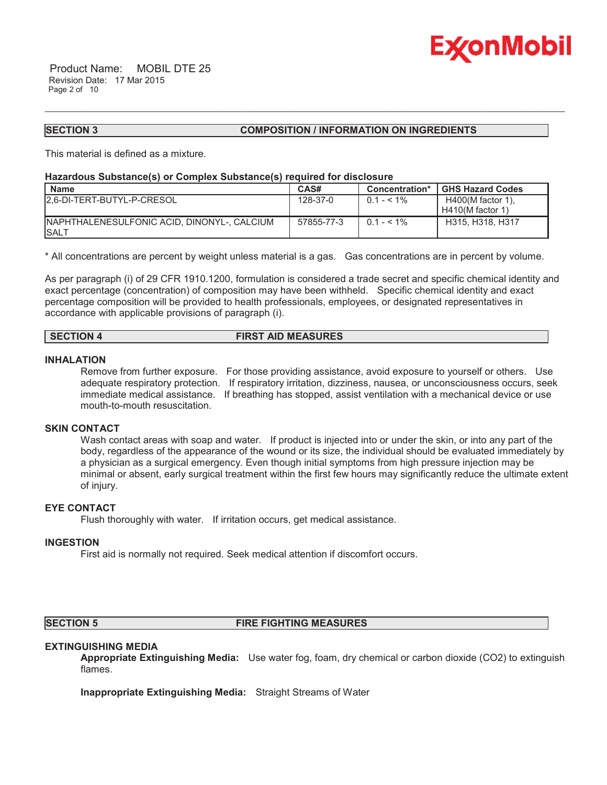

 Product Name: MOBIL DTE 25 Revision Date: 17 Mar 2015 Page 2 of 10

### **SECTION 3 COMPOSITION / INFORMATION ON INGREDIENTS**

This material is defined as a mixture.

### **Hazardous Substance(s) or Complex Substance(s) required for disclosure**

| <b>Name</b>                                                 | CAS#       | Concentration* | <b>GHS Hazard Codes</b>                   |
|-------------------------------------------------------------|------------|----------------|-------------------------------------------|
| 2.6-DI-TERT-BUTYL-P-CRESOL                                  | 128-37-0   | $0.1 - 5.1\%$  | $H400(M$ factor 1).<br>$H410(M$ factor 1) |
| INAPHTHALENESULFONIC ACID. DINONYL-, CALCIUM<br><b>SALT</b> | 57855-77-3 | $0.1 - 5.1\%$  | H315, H318, H317                          |

\_\_\_\_\_\_\_\_\_\_\_\_\_\_\_\_\_\_\_\_\_\_\_\_\_\_\_\_\_\_\_\_\_\_\_\_\_\_\_\_\_\_\_\_\_\_\_\_\_\_\_\_\_\_\_\_\_\_\_\_\_\_\_\_\_\_\_\_\_\_\_\_\_\_\_\_\_\_\_\_\_\_\_\_\_\_\_\_\_\_\_\_\_\_\_\_\_\_\_\_\_\_\_\_\_\_\_\_\_\_\_\_\_\_\_\_\_\_

\* All concentrations are percent by weight unless material is a gas. Gas concentrations are in percent by volume.

As per paragraph (i) of 29 CFR 1910.1200, formulation is considered a trade secret and specific chemical identity and exact percentage (concentration) of composition may have been withheld. Specific chemical identity and exact percentage composition will be provided to health professionals, employees, or designated representatives in accordance with applicable provisions of paragraph (i).

#### **SECTION 4 FIRST AID MEASURES**

# **INHALATION**

Remove from further exposure. For those providing assistance, avoid exposure to yourself or others. Use adequate respiratory protection. If respiratory irritation, dizziness, nausea, or unconsciousness occurs, seek immediate medical assistance. If breathing has stopped, assist ventilation with a mechanical device or use mouth-to-mouth resuscitation.

# **SKIN CONTACT**

Wash contact areas with soap and water. If product is injected into or under the skin, or into any part of the body, regardless of the appearance of the wound or its size, the individual should be evaluated immediately by a physician as a surgical emergency. Even though initial symptoms from high pressure injection may be minimal or absent, early surgical treatment within the first few hours may significantly reduce the ultimate extent of injury.

# **EYE CONTACT**

Flush thoroughly with water. If irritation occurs, get medical assistance.

# **INGESTION**

First aid is normally not required. Seek medical attention if discomfort occurs.

# **SECTION 5 FIRE FIGHTING MEASURES**

# **EXTINGUISHING MEDIA**

**Appropriate Extinguishing Media:** Use water fog, foam, dry chemical or carbon dioxide (CO2) to extinguish flames.

**Inappropriate Extinguishing Media:** Straight Streams of Water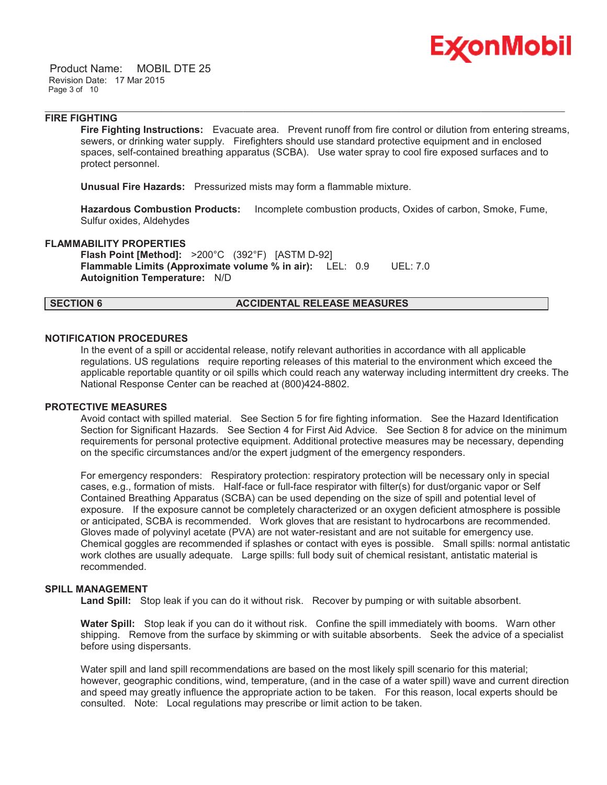

 Product Name: MOBIL DTE 25 Revision Date: 17 Mar 2015 Page 3 of 10

### **FIRE FIGHTING**

**Fire Fighting Instructions:** Evacuate area. Prevent runoff from fire control or dilution from entering streams, sewers, or drinking water supply. Firefighters should use standard protective equipment and in enclosed spaces, self-contained breathing apparatus (SCBA). Use water spray to cool fire exposed surfaces and to protect personnel.

\_\_\_\_\_\_\_\_\_\_\_\_\_\_\_\_\_\_\_\_\_\_\_\_\_\_\_\_\_\_\_\_\_\_\_\_\_\_\_\_\_\_\_\_\_\_\_\_\_\_\_\_\_\_\_\_\_\_\_\_\_\_\_\_\_\_\_\_\_\_\_\_\_\_\_\_\_\_\_\_\_\_\_\_\_\_\_\_\_\_\_\_\_\_\_\_\_\_\_\_\_\_\_\_\_\_\_\_\_\_\_\_\_\_\_\_\_\_

**Unusual Fire Hazards:** Pressurized mists may form a flammable mixture.

**Hazardous Combustion Products:** Incomplete combustion products, Oxides of carbon, Smoke, Fume, Sulfur oxides, Aldehydes

#### **FLAMMABILITY PROPERTIES**

**Flash Point [Method]:** >200°C (392°F) [ASTM D-92] **Flammable Limits (Approximate volume % in air):** LEL: 0.9 UEL: 7.0 **Autoignition Temperature:** N/D

### **SECTION 6 ACCIDENTAL RELEASE MEASURES**

### **NOTIFICATION PROCEDURES**

In the event of a spill or accidental release, notify relevant authorities in accordance with all applicable regulations. US regulations require reporting releases of this material to the environment which exceed the applicable reportable quantity or oil spills which could reach any waterway including intermittent dry creeks. The National Response Center can be reached at (800)424-8802.

#### **PROTECTIVE MEASURES**

Avoid contact with spilled material. See Section 5 for fire fighting information. See the Hazard Identification Section for Significant Hazards. See Section 4 for First Aid Advice. See Section 8 for advice on the minimum requirements for personal protective equipment. Additional protective measures may be necessary, depending on the specific circumstances and/or the expert judgment of the emergency responders.

For emergency responders: Respiratory protection: respiratory protection will be necessary only in special cases, e.g., formation of mists. Half-face or full-face respirator with filter(s) for dust/organic vapor or Self Contained Breathing Apparatus (SCBA) can be used depending on the size of spill and potential level of exposure. If the exposure cannot be completely characterized or an oxygen deficient atmosphere is possible or anticipated, SCBA is recommended. Work gloves that are resistant to hydrocarbons are recommended. Gloves made of polyvinyl acetate (PVA) are not water-resistant and are not suitable for emergency use. Chemical goggles are recommended if splashes or contact with eyes is possible. Small spills: normal antistatic work clothes are usually adequate. Large spills: full body suit of chemical resistant, antistatic material is recommended.

# **SPILL MANAGEMENT**

**Land Spill:** Stop leak if you can do it without risk. Recover by pumping or with suitable absorbent.

**Water Spill:** Stop leak if you can do it without risk. Confine the spill immediately with booms. Warn other shipping. Remove from the surface by skimming or with suitable absorbents. Seek the advice of a specialist before using dispersants.

Water spill and land spill recommendations are based on the most likely spill scenario for this material; however, geographic conditions, wind, temperature, (and in the case of a water spill) wave and current direction and speed may greatly influence the appropriate action to be taken. For this reason, local experts should be consulted. Note: Local regulations may prescribe or limit action to be taken.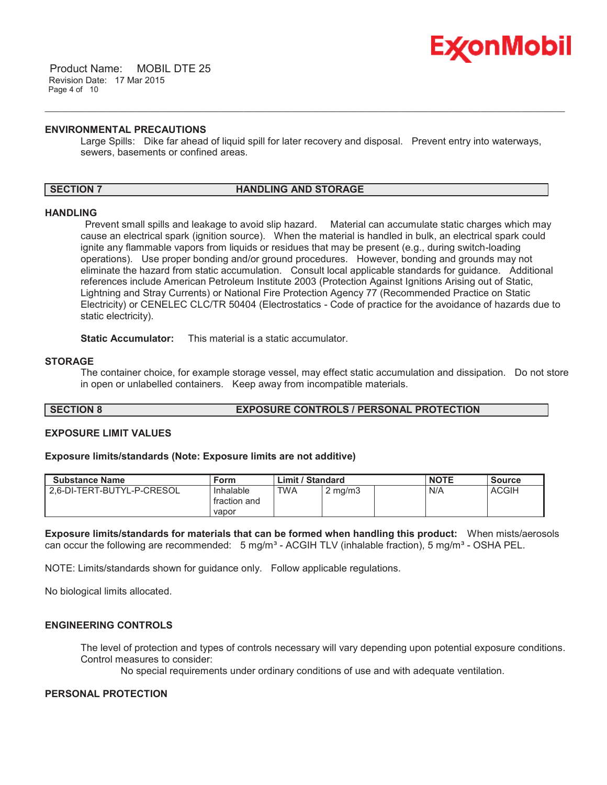

 Product Name: MOBIL DTE 25 Revision Date: 17 Mar 2015 Page 4 of 10

#### **ENVIRONMENTAL PRECAUTIONS**

Large Spills: Dike far ahead of liquid spill for later recovery and disposal. Prevent entry into waterways, sewers, basements or confined areas.

\_\_\_\_\_\_\_\_\_\_\_\_\_\_\_\_\_\_\_\_\_\_\_\_\_\_\_\_\_\_\_\_\_\_\_\_\_\_\_\_\_\_\_\_\_\_\_\_\_\_\_\_\_\_\_\_\_\_\_\_\_\_\_\_\_\_\_\_\_\_\_\_\_\_\_\_\_\_\_\_\_\_\_\_\_\_\_\_\_\_\_\_\_\_\_\_\_\_\_\_\_\_\_\_\_\_\_\_\_\_\_\_\_\_\_\_\_\_

#### **SECTION 7 HANDLING AND STORAGE**

# **HANDLING**

 Prevent small spills and leakage to avoid slip hazard. Material can accumulate static charges which may cause an electrical spark (ignition source). When the material is handled in bulk, an electrical spark could ignite any flammable vapors from liquids or residues that may be present (e.g., during switch-loading operations). Use proper bonding and/or ground procedures. However, bonding and grounds may not eliminate the hazard from static accumulation. Consult local applicable standards for guidance. Additional references include American Petroleum Institute 2003 (Protection Against Ignitions Arising out of Static, Lightning and Stray Currents) or National Fire Protection Agency 77 (Recommended Practice on Static Electricity) or CENELEC CLC/TR 50404 (Electrostatics - Code of practice for the avoidance of hazards due to static electricity).

**Static Accumulator:** This material is a static accumulator.

#### **STORAGE**

The container choice, for example storage vessel, may effect static accumulation and dissipation. Do not store in open or unlabelled containers. Keep away from incompatible materials.

**SECTION 8 EXPOSURE CONTROLS / PERSONAL PROTECTION**

#### **EXPOSURE LIMIT VALUES**

#### **Exposure limits/standards (Note: Exposure limits are not additive)**

| <b>Substance Name</b>      | Form                      | ∟imit /    | / Standard       | <b>NOTE</b> | <b>Source</b> |
|----------------------------|---------------------------|------------|------------------|-------------|---------------|
| 2.6-DI-TERT-BUTYL-P-CRESOL | Inhalable<br>fraction and | <b>TWA</b> | $2 \text{ mg/m}$ | N/A         | <b>ACGIH</b>  |
|                            | vapor                     |            |                  |             |               |

**Exposure limits/standards for materials that can be formed when handling this product:** When mists/aerosols can occur the following are recommended: 5 mg/m<sup>3</sup> - ACGIH TLV (inhalable fraction), 5 mg/m<sup>3</sup> - OSHA PEL.

NOTE: Limits/standards shown for guidance only. Follow applicable regulations.

No biological limits allocated.

#### **ENGINEERING CONTROLS**

The level of protection and types of controls necessary will vary depending upon potential exposure conditions. Control measures to consider:

No special requirements under ordinary conditions of use and with adequate ventilation.

#### **PERSONAL PROTECTION**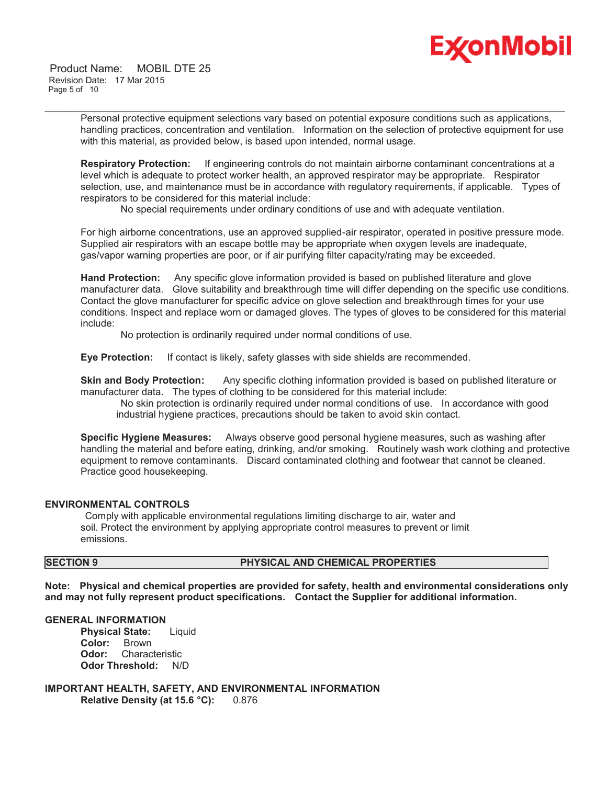

 Product Name: MOBIL DTE 25 Revision Date: 17 Mar 2015 Page 5 of 10

> Personal protective equipment selections vary based on potential exposure conditions such as applications, handling practices, concentration and ventilation. Information on the selection of protective equipment for use with this material, as provided below, is based upon intended, normal usage.

\_\_\_\_\_\_\_\_\_\_\_\_\_\_\_\_\_\_\_\_\_\_\_\_\_\_\_\_\_\_\_\_\_\_\_\_\_\_\_\_\_\_\_\_\_\_\_\_\_\_\_\_\_\_\_\_\_\_\_\_\_\_\_\_\_\_\_\_\_\_\_\_\_\_\_\_\_\_\_\_\_\_\_\_\_\_\_\_\_\_\_\_\_\_\_\_\_\_\_\_\_\_\_\_\_\_\_\_\_\_\_\_\_\_\_\_\_\_

**Respiratory Protection:** If engineering controls do not maintain airborne contaminant concentrations at a level which is adequate to protect worker health, an approved respirator may be appropriate. Respirator selection, use, and maintenance must be in accordance with regulatory requirements, if applicable. Types of respirators to be considered for this material include:

No special requirements under ordinary conditions of use and with adequate ventilation.

For high airborne concentrations, use an approved supplied-air respirator, operated in positive pressure mode. Supplied air respirators with an escape bottle may be appropriate when oxygen levels are inadequate, gas/vapor warning properties are poor, or if air purifying filter capacity/rating may be exceeded.

**Hand Protection:** Any specific glove information provided is based on published literature and glove manufacturer data. Glove suitability and breakthrough time will differ depending on the specific use conditions. Contact the glove manufacturer for specific advice on glove selection and breakthrough times for your use conditions. Inspect and replace worn or damaged gloves. The types of gloves to be considered for this material include:

No protection is ordinarily required under normal conditions of use.

**Eye Protection:** If contact is likely, safety glasses with side shields are recommended.

**Skin and Body Protection:** Any specific clothing information provided is based on published literature or manufacturer data. The types of clothing to be considered for this material include:

 No skin protection is ordinarily required under normal conditions of use. In accordance with good industrial hygiene practices, precautions should be taken to avoid skin contact.

**Specific Hygiene Measures:** Always observe good personal hygiene measures, such as washing after handling the material and before eating, drinking, and/or smoking. Routinely wash work clothing and protective equipment to remove contaminants. Discard contaminated clothing and footwear that cannot be cleaned. Practice good housekeeping.

#### **ENVIRONMENTAL CONTROLS**

 Comply with applicable environmental regulations limiting discharge to air, water and soil. Protect the environment by applying appropriate control measures to prevent or limit emissions.

# **SECTION 9 PHYSICAL AND CHEMICAL PROPERTIES**

**Note: Physical and chemical properties are provided for safety, health and environmental considerations only and may not fully represent product specifications. Contact the Supplier for additional information.**

#### **GENERAL INFORMATION**

**Physical State:** Liquid **Color:** Brown **Odor:** Characteristic **Odor Threshold:** N/D

**IMPORTANT HEALTH, SAFETY, AND ENVIRONMENTAL INFORMATION Relative Density (at 15.6 °C):** 0.876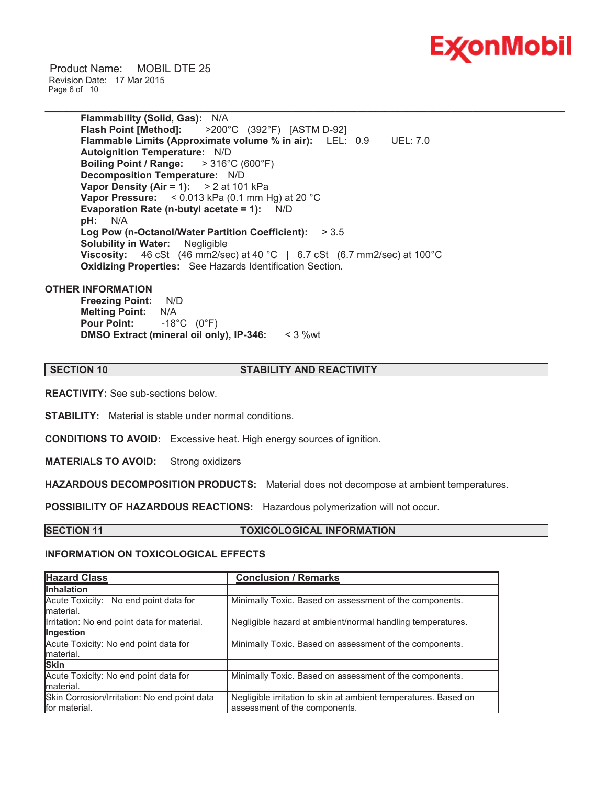

 Product Name: MOBIL DTE 25 Revision Date: 17 Mar 2015 Page 6 of 10

> **Flammability (Solid, Gas):** N/A **Flash Point [Method]:** >200°C (392°F) [ASTM D-92] **Flammable Limits (Approximate volume % in air):** LEL: 0.9 UEL: 7.0 **Autoignition Temperature:** N/D **Boiling Point / Range:** > 316°C (600°F) **Decomposition Temperature:** N/D **Vapor Density (Air = 1):** > 2 at 101 kPa **Vapor Pressure:** < 0.013 kPa (0.1 mm Hg) at 20 °C **Evaporation Rate (n-butyl acetate = 1):** N/D **pH:** N/A **Log Pow (n-Octanol/Water Partition Coefficient):** > 3.5 **Solubility in Water:** Negligible **Viscosity:** 46 cSt (46 mm2/sec) at 40 °C | 6.7 cSt (6.7 mm2/sec) at 100°C **Oxidizing Properties:** See Hazards Identification Section.

#### **OTHER INFORMATION**

**Freezing Point:** N/D **Melting Point:** N/A **Pour Point:** -18°C (0°F) **DMSO Extract (mineral oil only), IP-346:** < 3 %wt

#### **SECTION 10 STABILITY AND REACTIVITY**

\_\_\_\_\_\_\_\_\_\_\_\_\_\_\_\_\_\_\_\_\_\_\_\_\_\_\_\_\_\_\_\_\_\_\_\_\_\_\_\_\_\_\_\_\_\_\_\_\_\_\_\_\_\_\_\_\_\_\_\_\_\_\_\_\_\_\_\_\_\_\_\_\_\_\_\_\_\_\_\_\_\_\_\_\_\_\_\_\_\_\_\_\_\_\_\_\_\_\_\_\_\_\_\_\_\_\_\_\_\_\_\_\_\_\_\_\_\_

**REACTIVITY:** See sub-sections below.

**STABILITY:** Material is stable under normal conditions.

**CONDITIONS TO AVOID:** Excessive heat. High energy sources of ignition.

**MATERIALS TO AVOID:** Strong oxidizers

**HAZARDOUS DECOMPOSITION PRODUCTS:** Material does not decompose at ambient temperatures.

**POSSIBILITY OF HAZARDOUS REACTIONS:** Hazardous polymerization will not occur.

#### **SECTION 11 TOXICOLOGICAL INFORMATION**

### **INFORMATION ON TOXICOLOGICAL EFFECTS**

| <b>Hazard Class</b>                                           | <b>Conclusion / Remarks</b>                                                                      |
|---------------------------------------------------------------|--------------------------------------------------------------------------------------------------|
| <b>Inhalation</b>                                             |                                                                                                  |
| Acute Toxicity: No end point data for<br>material.            | Minimally Toxic. Based on assessment of the components.                                          |
| Irritation: No end point data for material.                   | Negligible hazard at ambient/normal handling temperatures.                                       |
| Ingestion                                                     |                                                                                                  |
| Acute Toxicity: No end point data for<br>material.            | Minimally Toxic. Based on assessment of the components.                                          |
| <b>Skin</b>                                                   |                                                                                                  |
| Acute Toxicity: No end point data for<br>lmaterial.           | Minimally Toxic. Based on assessment of the components.                                          |
| Skin Corrosion/Irritation: No end point data<br>for material. | Negligible irritation to skin at ambient temperatures. Based on<br>assessment of the components. |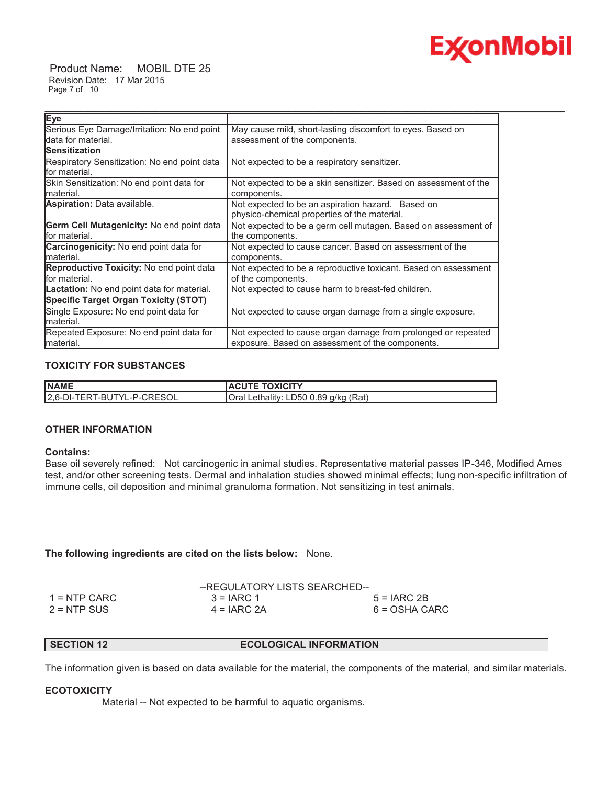

 Product Name: MOBIL DTE 25 Revision Date: 17 Mar 2015 Page 7 of 10

| Eye                                                            |                                                                  |  |  |
|----------------------------------------------------------------|------------------------------------------------------------------|--|--|
| Serious Eye Damage/Irritation: No end point                    | May cause mild, short-lasting discomfort to eyes. Based on       |  |  |
| data for material.                                             | assessment of the components.                                    |  |  |
| <b>Sensitization</b>                                           |                                                                  |  |  |
| Respiratory Sensitization: No end point data<br>lfor material. | Not expected to be a respiratory sensitizer.                     |  |  |
| Skin Sensitization: No end point data for                      | Not expected to be a skin sensitizer. Based on assessment of the |  |  |
| lmaterial.                                                     | components.                                                      |  |  |
| <b>Aspiration: Data available.</b>                             | Not expected to be an aspiration hazard. Based on                |  |  |
|                                                                | physico-chemical properties of the material.                     |  |  |
| Germ Cell Mutagenicity: No end point data                      | Not expected to be a germ cell mutagen. Based on assessment of   |  |  |
| lfor material.                                                 | the components.                                                  |  |  |
| <b>Carcinogenicity:</b> No end point data for                  | Not expected to cause cancer. Based on assessment of the         |  |  |
| material.                                                      | components.                                                      |  |  |
| Reproductive Toxicity: No end point data                       | Not expected to be a reproductive toxicant. Based on assessment  |  |  |
| lfor material.                                                 | of the components.                                               |  |  |
| <b>Lactation:</b> No end point data for material.              | Not expected to cause harm to breast-fed children.               |  |  |
| <b>Specific Target Organ Toxicity (STOT)</b>                   |                                                                  |  |  |
| Single Exposure: No end point data for                         | Not expected to cause organ damage from a single exposure.       |  |  |
| lmaterial.                                                     |                                                                  |  |  |
| Repeated Exposure: No end point data for                       | Not expected to cause organ damage from prolonged or repeated    |  |  |
| material.                                                      | exposure. Based on assessment of the components.                 |  |  |

\_\_\_\_\_\_\_\_\_\_\_\_\_\_\_\_\_\_\_\_\_\_\_\_\_\_\_\_\_\_\_\_\_\_\_\_\_\_\_\_\_\_\_\_\_\_\_\_\_\_\_\_\_\_\_\_\_\_\_\_\_\_\_\_\_\_\_\_\_\_\_\_\_\_\_\_\_\_\_\_\_\_\_\_\_\_\_\_\_\_\_\_\_\_\_\_\_\_\_\_\_\_\_\_\_\_\_\_\_\_\_\_\_\_\_\_\_\_

# **TOXICITY FOR SUBSTANCES**

| <b>NAME</b>                | <b>ACUTE TOXICITY</b>                |
|----------------------------|--------------------------------------|
| 2,6-DI-TERT-BUTYL-P-CRESOL | Oral Lethality: LD50 0.89 g/kg (Rat) |

# **OTHER INFORMATION**

### **Contains:**

Base oil severely refined: Not carcinogenic in animal studies. Representative material passes IP-346, Modified Ames test, and/or other screening tests. Dermal and inhalation studies showed minimal effects; lung non-specific infiltration of immune cells, oil deposition and minimal granuloma formation. Not sensitizing in test animals.

# **The following ingredients are cited on the lists below:** None.

|                | --REGULATORY LISTS SEARCHED-- |                 |  |
|----------------|-------------------------------|-----------------|--|
| $1 =$ NTP CARC | $3 = IARC 1$                  | $5 = IARC2B$    |  |
| $2 =$ NTP SUS  | $4 = IARC 2A$                 | $6 = OSHA CARC$ |  |

#### **SECTION 12 ECOLOGICAL INFORMATION**

The information given is based on data available for the material, the components of the material, and similar materials.

### **ECOTOXICITY**

Material -- Not expected to be harmful to aquatic organisms.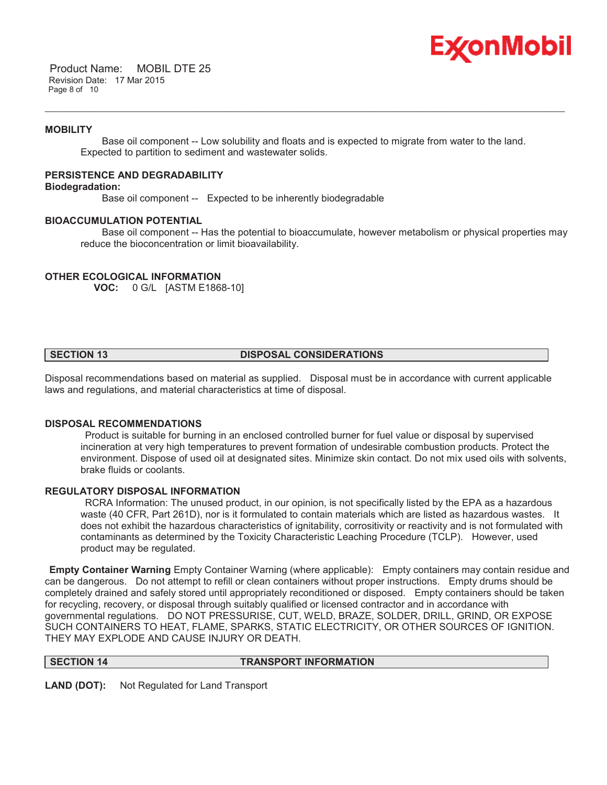

 Product Name: MOBIL DTE 25 Revision Date: 17 Mar 2015 Page 8 of 10

#### **MOBILITY**

 Base oil component -- Low solubility and floats and is expected to migrate from water to the land. Expected to partition to sediment and wastewater solids.

\_\_\_\_\_\_\_\_\_\_\_\_\_\_\_\_\_\_\_\_\_\_\_\_\_\_\_\_\_\_\_\_\_\_\_\_\_\_\_\_\_\_\_\_\_\_\_\_\_\_\_\_\_\_\_\_\_\_\_\_\_\_\_\_\_\_\_\_\_\_\_\_\_\_\_\_\_\_\_\_\_\_\_\_\_\_\_\_\_\_\_\_\_\_\_\_\_\_\_\_\_\_\_\_\_\_\_\_\_\_\_\_\_\_\_\_\_\_

# **PERSISTENCE AND DEGRADABILITY**

**Biodegradation:**

Base oil component -- Expected to be inherently biodegradable

#### **BIOACCUMULATION POTENTIAL**

 Base oil component -- Has the potential to bioaccumulate, however metabolism or physical properties may reduce the bioconcentration or limit bioavailability.

### **OTHER ECOLOGICAL INFORMATION**

**VOC:** 0 G/L [ASTM E1868-10]

# **SECTION 13 DISPOSAL CONSIDERATIONS**

Disposal recommendations based on material as supplied. Disposal must be in accordance with current applicable laws and regulations, and material characteristics at time of disposal.

#### **DISPOSAL RECOMMENDATIONS**

 Product is suitable for burning in an enclosed controlled burner for fuel value or disposal by supervised incineration at very high temperatures to prevent formation of undesirable combustion products. Protect the environment. Dispose of used oil at designated sites. Minimize skin contact. Do not mix used oils with solvents, brake fluids or coolants.

# **REGULATORY DISPOSAL INFORMATION**

 RCRA Information: The unused product, in our opinion, is not specifically listed by the EPA as a hazardous waste (40 CFR, Part 261D), nor is it formulated to contain materials which are listed as hazardous wastes. It does not exhibit the hazardous characteristics of ignitability, corrositivity or reactivity and is not formulated with contaminants as determined by the Toxicity Characteristic Leaching Procedure (TCLP). However, used product may be regulated.

**Empty Container Warning** Empty Container Warning (where applicable): Empty containers may contain residue and can be dangerous. Do not attempt to refill or clean containers without proper instructions. Empty drums should be completely drained and safely stored until appropriately reconditioned or disposed. Empty containers should be taken for recycling, recovery, or disposal through suitably qualified or licensed contractor and in accordance with governmental regulations. DO NOT PRESSURISE, CUT, WELD, BRAZE, SOLDER, DRILL, GRIND, OR EXPOSE SUCH CONTAINERS TO HEAT, FLAME, SPARKS, STATIC ELECTRICITY, OR OTHER SOURCES OF IGNITION. THEY MAY EXPLODE AND CAUSE INJURY OR DEATH.

### **SECTION 14 TRANSPORT INFORMATION**

**LAND (DOT):** Not Regulated for Land Transport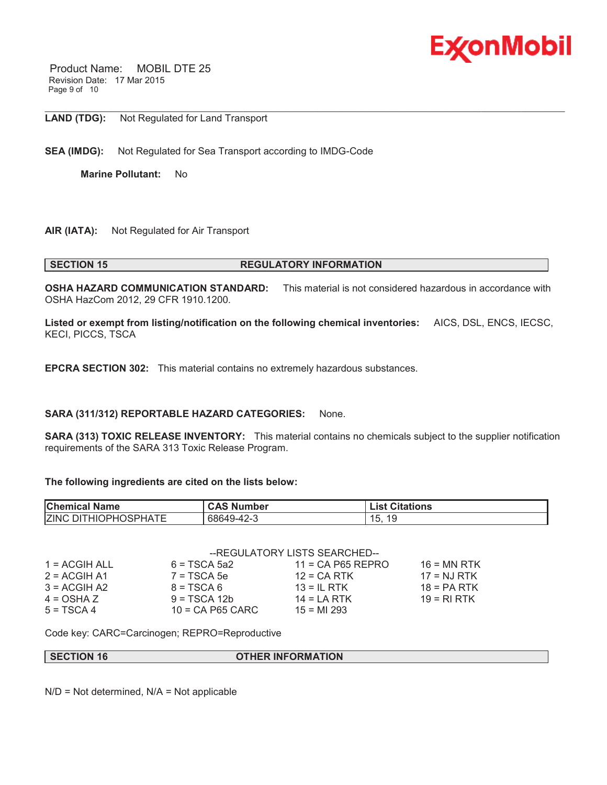

 Product Name: MOBIL DTE 25 Revision Date: 17 Mar 2015 Page 9 of 10

**LAND (TDG):** Not Regulated for Land Transport

**SEA (IMDG):** Not Regulated for Sea Transport according to IMDG-Code

**Marine Pollutant:** No

**AIR (IATA):** Not Regulated for Air Transport

# **SECTION 15 REGULATORY INFORMATION**

\_\_\_\_\_\_\_\_\_\_\_\_\_\_\_\_\_\_\_\_\_\_\_\_\_\_\_\_\_\_\_\_\_\_\_\_\_\_\_\_\_\_\_\_\_\_\_\_\_\_\_\_\_\_\_\_\_\_\_\_\_\_\_\_\_\_\_\_\_\_\_\_\_\_\_\_\_\_\_\_\_\_\_\_\_\_\_\_\_\_\_\_\_\_\_\_\_\_\_\_\_\_\_\_\_\_\_\_\_\_\_\_\_\_\_\_\_\_

**OSHA HAZARD COMMUNICATION STANDARD:** This material is not considered hazardous in accordance with OSHA HazCom 2012, 29 CFR 1910.1200.

**Listed or exempt from listing/notification on the following chemical inventories:** AICS, DSL, ENCS, IECSC, KECI, PICCS, TSCA

**EPCRA SECTION 302:** This material contains no extremely hazardous substances.

# **SARA (311/312) REPORTABLE HAZARD CATEGORIES:** None.

**SARA (313) TOXIC RELEASE INVENTORY:** This material contains no chemicals subject to the supplier notification requirements of the SARA 313 Toxic Release Program.

# **The following ingredients are cited on the lists below:**

| <b>Chemical Name</b>             | <b>CAS Number</b> | <b>Citations</b><br>List |
|----------------------------------|-------------------|--------------------------|
| <b>ZINC</b><br>: DITHIOPHOSPHATE | 68649-42-3        | 19<br>15.                |

DEGULATODY LIGTS SEADOUED

|               | --REGULATORY LISTS SEARCHED-- |                     |               |  |  |
|---------------|-------------------------------|---------------------|---------------|--|--|
| 1 = ACGIH ALL | $6 = TSCA 5a2$                | $11 = CA$ P65 REPRO | $16 = MN$ RTK |  |  |
| 2 = ACGIH A1  | $7 = TSCA5e$                  | $12$ = CA RTK       | $17 = NJ RTK$ |  |  |
| 3 = ACGIH A2  | $8 = TSCA6$                   | $13 = IL$ RTK       | $18 = PA RTK$ |  |  |
| 4 = OSHA Z    | $9 = TSCA 12b$                | $14 = LA RTK$       | $19 = RIRTK$  |  |  |
| 5 = TSCA 4    | $10 = CA$ P65 CARC            | $15 = M1 293$       |               |  |  |
|               |                               |                     |               |  |  |

Code key: CARC=Carcinogen; REPRO=Reproductive

### **SECTION 16 OTHER INFORMATION**

N/D = Not determined, N/A = Not applicable